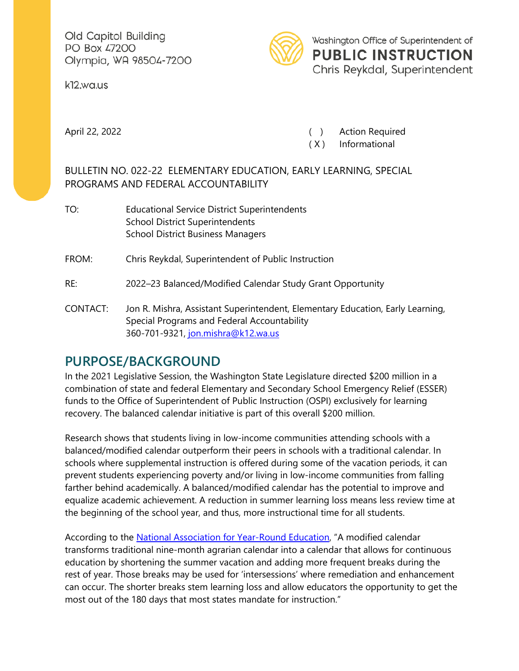Old Capitol Building PO Box 47200 Olympia, WA 98504-7200

k12.wa.us



April 22, 2022 (a) Action Required

( X ) Informational

## BULLETIN NO. 022-22 ELEMENTARY EDUCATION, EARLY LEARNING, SPECIAL PROGRAMS AND FEDERAL ACCOUNTABILITY

- TO: Educational Service District Superintendents School District Superintendents School District Business Managers FROM: Chris Reykdal, Superintendent of Public Instruction
- RE: 2022–23 Balanced/Modified Calendar Study Grant Opportunity
- CONTACT: Jon R. Mishra, Assistant Superintendent, Elementary Education, Early Learning, Special Programs and Federal Accountability 360-701-9321, [jon.mishra@k12.wa.us](mailto:jon.mishra@k12.wa.us)

## **PURPOSE/BACKGROUND**

In the 2021 Legislative Session, the Washington State Legislature directed \$200 million in a combination of state and federal Elementary and Secondary School Emergency Relief (ESSER) funds to the Office of Superintendent of Public Instruction (OSPI) exclusively for learning recovery. The balanced calendar initiative is part of this overall \$200 million.

Research shows that students living in low-income communities attending schools with a balanced/modified calendar outperform their peers in schools with a traditional calendar. In schools where supplemental instruction is offered during some of the vacation periods, it can prevent students experiencing poverty and/or living in low-income communities from falling farther behind academically. A balanced/modified calendar has the potential to improve and equalize academic achievement. A reduction in summer learning loss means less review time at the beginning of the school year, and thus, more instructional time for all students.

According to the [National Association for Year-Round Education,](https://www.nayre.org/) "A modified calendar transforms traditional nine-month agrarian calendar into a calendar that allows for continuous education by shortening the summer vacation and adding more frequent breaks during the rest of year. Those breaks may be used for 'intersessions' where remediation and enhancement can occur. The shorter breaks stem learning loss and allow educators the opportunity to get the most out of the 180 days that most states mandate for instruction."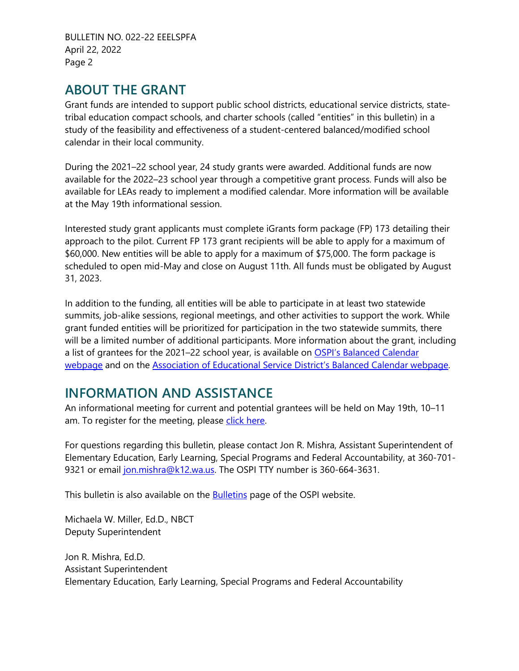BULLETIN NO. 022-22 EEELSPFA April 22, 2022 Page 2

## **ABOUT THE GRANT**

Grant funds are intended to support public school districts, educational service districts, statetribal education compact schools, and charter schools (called "entities" in this bulletin) in a study of the feasibility and effectiveness of a student-centered balanced/modified school calendar in their local community.

During the 2021–22 school year, 24 study grants were awarded. Additional funds are now available for the 2022–23 school year through a competitive grant process. Funds will also be available for LEAs ready to implement a modified calendar. More information will be available at the May 19th informational session.

Interested study grant applicants must complete iGrants form package (FP) 173 detailing their approach to the pilot. Current FP 173 grant recipients will be able to apply for a maximum of \$60,000. New entities will be able to apply for a maximum of \$75,000. The form package is scheduled to open mid-May and close on August 11th. All funds must be obligated by August 31, 2023.

In addition to the funding, all entities will be able to participate in at least two statewide summits, job-alike sessions, regional meetings, and other activities to support the work. While grant funded entities will be prioritized for participation in the two statewide summits, there will be a limited number of additional participants. More information about the grant, including a list of grantees for the 2021–22 school year, is available on OSPI's Balanced Calendar [webpage](https://www.k12.wa.us/policy-funding/grants-grant-management/balanced-calendar) and on the [Association of Educational Service District's Balanced Calendar webpage.](https://www.waesd.org/services/calendar/)

## **INFORMATION AND ASSISTANCE**

An informational meeting for current and potential grantees will be held on May 19th, 10–11 am. To register for the meeting, please [click here.](https://esd113.zoom.us/meeting/register/tZApf-2vqjMtEtd53FxvMDWlwHk9g2ER3De0)

For questions regarding this bulletin, please contact Jon R. Mishra, Assistant Superintendent of Elementary Education, Early Learning, Special Programs and Federal Accountability, at 360-701 9321 or email [jon.mishra@k12.wa.us.](mailto:jon.mishra@k12.wa.us) The OSPI TTY number is 360-664-3631.

This bulletin is also available on the **Bulletins** page of the OSPI website.

Michaela W. Miller, Ed.D., NBCT Deputy Superintendent

Jon R. Mishra, Ed.D. Assistant Superintendent Elementary Education, Early Learning, Special Programs and Federal Accountability